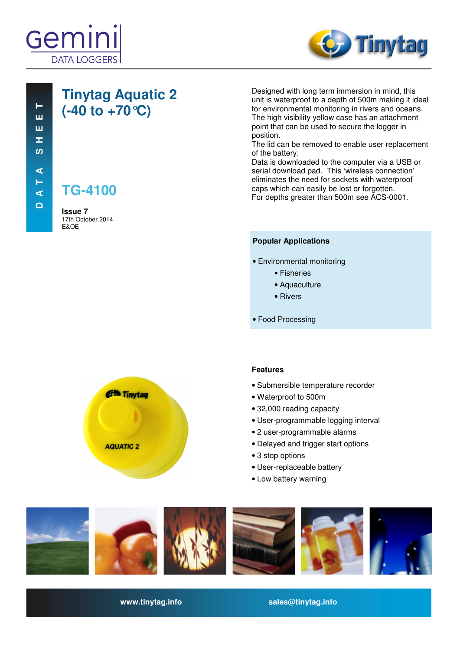



### **Tinytag Aquatic 2 (-40 to +70°C)**

**TG-4100**

**Issue 7**  17th October 2014 E&OE

Designed with long term immersion in mind, this unit is waterproof to a depth of 500m making it ideal for environmental monitoring in rivers and oceans. The high visibility yellow case has an attachment point that can be used to secure the logger in position.

The lid can be removed to enable user replacement of the battery.

Data is downloaded to the computer via a USB or serial download pad. This 'wireless connection' eliminates the need for sockets with waterproof caps which can easily be lost or forgotten. For depths greater than 500m see ACS-0001.

#### **Popular Applications**

- Environmental monitoring
	- Fisheries
	- Aquaculture
	- Rivers
- Food Processing



#### **Features**

- Submersible temperature recorder
- Waterproof to 500m
- 32,000 reading capacity
- User-programmable logging interval
- 2 user-programmable alarms
- Delayed and trigger start options
- 3 stop options
- User-replaceable battery
- Low battery warning



**www.tinytag.info sales@tinytag.info**